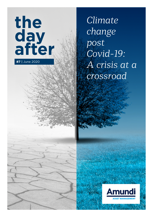

*Climate change post Covid-19: A crisis at a crossroad*

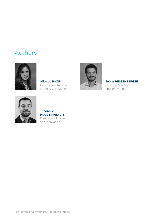# Authors



Alice de BAZIN Head of Institutional Offering & Solutions



Tobias HESSENBERGER

Business Solutions and Innovation



### Théophile POUGET-ABADIE Business Solutions and Innovation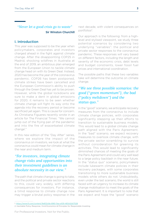### *"Never let a good crisis go to waste"* Sir Winston Churchill

### I. Introduction

This year was supposed to be the year when policymakers, corporates and investors charged ahead in the fight against climate change. After the disappointing COP25 in Madrid, shocking wildfires in Australia at the end of 2019, an ambitious plan emerged from the European Union to tackle climate change head on with its Green Deal. Instead, 2020 has become the year of the coronavirus pandemic. COP26 has been postponed, climate strikes have been cancelled and the European Commission's ability to push through the Green Deal has yet to be proven. However, while the global lockdowns are sure to make a dent in global emissions for 2020, it remains to be seen whether climate change will fight its way onto the agenda into the recovery period or become sacrificed yet again. This is cause for concern. As Christiana Figueres recently wrote in an article for The Financial Times: "We cannot jump out of the frying pan of the pandemic and into the fire of exacerbated climate change1 ."

In this new edition of the "Day After" series, where we explore the impact of the coronavirus on investors, we look at what the coronavirus could mean for climate change in the near and medium term.

### *"For investors, integrating climate change risks and opportunities into their investment guidelines is an absolute necessity in our view."*

The path that climate change is going to take, and the political and private sector reactions to this, could vary widely, with differing consequences for investors. For instance, a timid response to climate change now may trigger a brutal policy response in the next decade, with violent consequences on portfolios2.

Our approach is the following: from a highlevel and stylised viewpoint, we study three potential scenarios by considering two underlying "variables": the political and private sector responses to the coronavirus pandemic. These responses will vary based on different factors, including the length and severity of the economic crisis, debt levels and budget constraints, lower fossil fuel prices and international coordination.

The possible paths that these two variables take will determine the outcome on climate change.

### *"We see three possible scenarios: the good ("green momentum"), the bad ("policy meltdown") and the status quo."*

In the "good" scenario, we anticipate recovery measures from the coronavirus to include climate change policies, with corporates significantly stepping up their efforts to transition to sustainable business models. This would lead to a global climate change path aligned with the Paris Agreement. In the "bad" scenario, we expect recovery measures to overlook climate change, with the private sector scrambling to survive without consideration for greening its activities. This would lead to significantly diminished chances of meeting the goals of the Paris Agreement and could very well lead to a large policy backlash in the near future. In the "status quo" scenario, policymakers include lukewarm climate policies in their recovery packages, with some corporates transitioning to more sustainable business models while others do not. Undoubtedly, even under the last scenario, the world is still faced with an urgency to increase its climate change mobilisation to meet the goals of the Paris Agreement. It is important to note that we expect and hope the "good" scenario

<sup>1.</sup><https://www.ft.com/content/9e832c8a-8961-11ea-a109-483c62d17528>

<sup>2.</sup> Inevitable Policy Response, Vivid Economics & Principles for Responsible Investing

For Professional Investors. Not for the Public.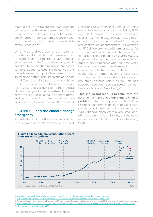materialises. In this regard, the "bad" scenario can be taken as the worst-case counterfactual scenario, one that warns stakeholders what could happen if our economic recovery path is not based on inclusive and sustainable stimulus packages.

What would these scenarios mean for investors? As the Nobel laureate Niels Bohr once said: "Prediction is very difficult, especially about the future." Of course, we do not claim to be scientific in our approach: each variable has been stylised. The objective of this piece, however, is to provide a framework for investors to better understand and anticipate the different possible paths that are ahead. In all cases, as a responsible asset manager we urge and assist our clients to integrate climate change into their investment policies. Nevertheless, these can take different forms, and based on which scenario unfolds, one approach may be more relevant than another.

### II. COVID-19 and the climate change emergency

Since the beginning of the lockdown, pollution levels have been dramatically reduced.

According to Carbon Brief<sup>3</sup>, annual warming gas emissions are anticipated to fall by 5.5% in 2020. Although this could be the largest ever annual fall in CO<sub>2</sub> emissions due to an economic crisis or period of war<sup>4</sup>, this large reduction will not be sufficient to limit warming to 1.5°C above pre-industrial temperatures, for which around an annual reduction of 7.6% of global emissions is needed5. Nevertheless, this large natural experiment is an unprecedented opportunity to observe what happens when humans have a restricted impact on the environment. Nature seems to have thrived in the face of human inactivity. Deer were strutting through the suburbs of Paris, distant mountains became visible in New Delhi and coyotes have even been spotted near San Francisco's Golden Gate Bridge6.

This should not lead us to think that the coronavirus has solved our climate change problem. In fact, it may even hinder it if the response undermines or slows down climate policies and investments. For instance, the 2008 financial crash led to a very small oneoff reduction in  $CO<sub>2</sub>$  emissions, but the gains made were completely erased in the following vears<sup>7</sup>.



<sup>3.</sup> https://www.carbonbrief.org/analysis-coronavirus-set-to-cause-largest-ever-annual-fall-in-co<sub>2</sub>-emissions

- 5. Global emissions would need to fall by some 7.6% every year this decade to keep warming less than 1.5°C above pre-industrial temperatures.
- 6. https://www.latimes.com/science/story/2020-04-22/with-humans-shut-in-by-the-coronavirus-shutdown-nature-sees-an-opportunity
- 7. <https://www.osti.gov/biblio/1038499>

For Professional Investors. Not for the Public.

<sup>4.</sup> https://www.carbonbrief.org/analysis-coronavirus-set-to-cause-largest-ever-annual-fall-in-co<sub>2</sub>-emissions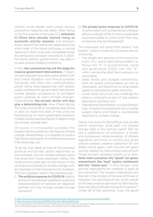History could repeat itself unless serious preventive measures are taken. After falling in the first quarter of the year,  $CO<sub>2</sub>$  emissions in China have already started rising as economic activity resumes, and emission drops around the world are expected to be short-lived. If this trend continues, a strong rebound in 2021 could even completely erase the temporary emission reductions in 2020. For some sectors, governments may step in to ease climate-related constraints.

In fact, the coronavirus has set the stage for massive government interventions. In Spain, private hospitals have been nationalised, with the United Kingdom and France possibly following with their own nationalisation plans<sup>8</sup>. Some have argued that with greater public tolerance for government intervention comes greater acceptance of stringent public policies to avert climate change<sup>9</sup>. Undoubtedly, the private sector will also play a determining role. How it fares during this crisis, and whether companies are willing or able to make the best of this crisis by transitioning to more sustainable business models will be a decisive factor in determining the climate change path.

Of course, it is impossible to predict the impact that the pandemic will have on climate change. Nevertheless, it is possible to build a high-level roadmap for the different scenarios that could play out.

To do so, one needs to look at the potential political and private sector responses to the outbreak and the climate change paths that arise from these responses. Hence, this study aims to shed light on the impact of the coronavirus outbreak on climate change, with an emphasis on the implications for investors. The two variables used in the scenarios are:

i) The political response to COVID-19, both in terms of international negotiations and the implementation of national (or regional) policies: will they include climate change concerns?

### ii) The private sector response to COVID-19.

To what extent will companies be willing or able to undergo shifts to more sustainable business models at a time when their very existences may be threatened?

The responses will result from several "risk factors", which include (but of course are not limited to):

- The length and severity of the economic crisis: this could lead policymakers to favour the "S" in environmental, social and governance (ESG) over the "E", while maintaining short-term pressure on corporates;
- Debt levels and budget constraints, both for public policymakers as well as corporates, will determine to what extent capital is allocated to green activities;
- Lower fossil fuel prices may challenge the relative competitiveness of low-carbon alternative solutions; and
- International coordination, or a lack thereof, may increase the perceived risk of global supply chains and hinder a coordinated response to climate change.

Taking into account the political and private sector responses, what path will climate change take in the coming years? Will we see a stabilisation of emissions, a timely and transparent implementation of climate regulation and limits to chronic and acute climate-related weather patterns? Or will 2008 unfold again, with the one-off gains quickly erased by rebounding economies? These stylised variables enable us to draw three main scenarios: the "good" (or green momentum), the "bad" (policy meltdown) and the "status quo". In this context, what are the implications for investors in each of the scenarios? The investor implications are framed in the context of the level of threat of transition risk and physical risk, which stands as the best practice approach to defining the financial risks of climate change for investors<sup>10</sup>. Under all of the scenarios, even the good

- 9. <https://www.ft.com/content/052923d2-78c2-11ea-af44-daa3def9ae03>
- 10. It is important to note that the actual COVID-19 crisis should not have any direct impact on physical risks per se, but the response to the crisis, from policymakers and corporates, will certainly have an impact down the line.

<sup>8.</sup> <https://theconversation.com/what-will-the-world-be-like-after-coronavirus-four-possible-futures-134085>

For Professional Investors. Not for the Public.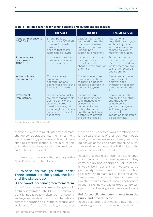|                                                         | <b>The Good</b>                                                                                                                                                                    | <b>The Bad</b>                                                                                                                                                                         | <b>The Status Quo</b>                                                                                                                                                                 |
|---------------------------------------------------------|------------------------------------------------------------------------------------------------------------------------------------------------------------------------------------|----------------------------------------------------------------------------------------------------------------------------------------------------------------------------------------|---------------------------------------------------------------------------------------------------------------------------------------------------------------------------------------|
| Political response to<br><b>COVID-19</b>                | Strong political<br>response to COVID-19<br>includes forward-<br>looking climate<br>policies that foster<br>sustainable growth.                                                    | Lack of international<br>cooperation and the<br>rise of nationalism<br>and protectionism<br>undermine a<br>sustainable recovery.                                                       | International<br>negotiations struggle,<br>while policymakers<br>introduce lukewarm<br>climate policies in<br>recovery packages.                                                      |
| <b>Private sector</b><br>response to<br><b>COVID-19</b> | Corporates transition<br>to more sustainable<br>business models.                                                                                                                   | Immediate concerns<br>for corporates<br>demote climate<br>change in the order of<br>priorities.                                                                                        | Some corporates<br>focus on surviving<br>the current pandemic,<br>while others are able<br>to charge forward in<br>decarbonising.                                                     |
| <b>Actual climate</b><br>change path                    | Climate change<br>emissions do<br>not rebound and<br>economies shift to the<br>Paris-aligned paths.                                                                                | Emission levels keep<br>rising exponentially,<br>triggering a political<br>response backlash in<br>the coming years.                                                                   | Emissions continue<br>rising, albeit at<br>a slower pace,<br>triggering needs for<br>transition down the<br>line.                                                                     |
| Investment<br>implications                              | Climate change risks<br>are more manageable<br>due to a timely and<br>clear low-carbon<br>transition, along with<br>a stable global climate<br>and climate-resilient<br>economies. | Climate change<br>risks become near<br>to unmanageable<br>as economies<br>implement abrupt<br>policy decisions<br>and the global crisis<br>destabilises beyond<br>the point of repair. | Depending on the<br>region, the countries<br>and the sector.<br>climate policy<br>gaps and progress<br>will diverge and<br>exacerbate the<br>impact of an unstable<br>global climate. |

#### Table 1: Possible scenarios for climate change and investment implications

Source: Amundi, as of 12 June 2020.

scenario, investors must integrate climate change considerations into their investment decision-making processes. Indeed, climate change's materialization is not in question, but rather the global capacity to reduce it and to become resilient.

It is important to note that we hope the "good" scenario materialises.

### III. Where do we go from here? Three scenarios: the good, the bad and the status quo

#### 1) The "good" scenario: green momentum

In the "good" scenario, climate change would be fully integrated into COVID-19 recovery plans by public policymakers, both at national and regional levels, and also into international climate negotiations. With pressure and assistance from public policy, corporates

from various sectors would embark on a large-scale revamp of their business models to align themselves more closely with the objectives of the Paris Agreement. As such, the drop in emissions and pollution due to the pandemic would be rooted.

In such a scenario, although climate change risks become more "manageable", they certainly do not disappear. For instance, it would be important for investors to be particularly careful of areas where transition risks have yet to materialise. Moreover, as the "environment" becomes "mainstream" for investors, and as markets increasingly prices in such risks, new areas of opportunity will open up: biodiversity, social issues and so on.

#### Reinforced climate commitments from the public and private sector

In this scenario, policymakers pay heed to the rising consensus from economists on

For Professional Investors. Not for the Public.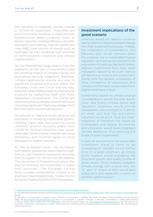the necessity to integrate climate change in COVID-19 responses<sup>11</sup>. Subsidies are given to entities investing in clean physical infrastructure, green products (such as electric vehicles), building efficiency retrofits, education and training, natural capital and clean R&D (new sources of energy such as hydrogen) as they constitute high potential on both economic multiplier and climate impact metrics.

On the international stage, lessons from the pandemic on the lack of coordination and the potential impact of climate change and biodiversity are fully integrated. Therefore, climate negotiations resume and lead to significant progress and action plans. The European Union and China lead the way, while the United States reacts to international pressure by realigning itself with Paris Agreement commitments. The COP26 ups the ante by raising climate commitments and unlocking significant financing pledges from both the public and private sectors.

At national or regional levels, policies are successful in fostering sustainable growth, creating clean jobs and ensuring social cohesion around recovery plans from COVID-19. Political consensus over sustainable debt levels evolves towards less fiscal orthodoxy, and countries agree on fiscal packages for a green recovery.

At the European level, the European Commission pushes the Green Deal through, with its Just Transition mechanism ensuring that no regions or sectors are left behind. The taxonomy is finalised and paves the way for investors and corporates to green their activities<sup>12</sup>. The European Central Bank includes sustainability criteria in its asset purchase programmes. Finally, the EU Emissions Trading System (ETS) is expanded.

### Investment implications of the good scenario

Investors would still need to continue taking steps to integrate climate change into their investment processes. Indeed, the integration of sustainability into fiduciary duty would continue given the ongoing rise in sustainable finance regulation, such as France's Article 173. As end-savers increasingly demand climatealigned investments from their asset managers, reporting on such metrics will become a more crucial component. Along with the greater availability of data, stringency of regulations and climate commitments would make Parisaligned strategies a must.

Investments based on climate change considerations would become easier. Clear and timely climate policy and regulation roadmaps would provide transparency and oversight to investors on when and how the low-carbon transition would occur. Thus, the materialisation of transition risk would be foreseeable and steady. Economies and companies would have integrated climate resilience, thus reducing the threat of asset impairments.

In such an environment, the sustainable investment trend is likely to be strengthened. Markets would further price in a green premium, as strong policy support would strengthen the long-term growth and quality profile of green assets. Since investors integrate climate change with a social lens, the "E" and "S" pillars of ESG would gain importance and materiality in terms of portfolio performances<sup>13</sup>.

11. <https://www.smithschool.ox.ac.uk/publications/wpapers/workingpaper20-02.pdf>

<sup>12.</sup> The indicative timetable can be accessed via [https://ec.europa.eu/info/sites/info/files/european-green-deal-communication-annex-roadmap\\_](https://ec.europa.eu/info/sites/info/files/european-green-deal-communication-annex-roadmap_en.pdf) [en.pdf](https://ec.europa.eu/info/sites/info/files/european-green-deal-communication-annex-roadmap_en.pdf)

<sup>13.</sup> Bennani, L., Le Guenedal, T., Lepetit, F., Ly, L., Mortier, V., and Sekine, T. (2018a), The Alpha and Beta of ESG Investing, Amundi Working Paper, 76,<http://research-center.amundi.com>. Drei, A., Le Guenedal, T., Lepetit, F., Mortier, V., Roncalli, T. and Sekine, T. (2019), ESG Investing in Recent Years: New Insights from Old Challenges, Amundi Discussion Paper, 42, [www.research-center.amundi.com](http://www.research-center.amundi.com). Ben Slimane, M., Le Guenedal, T., Roncalli, T. and Sekine, T. (2019), ESG Investing in Corporate Bonds: Mind the Gap, Amundi Working Paper, 93, http://researchcenter.amundi.com.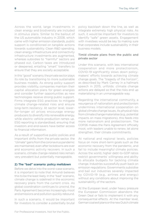Across the world, large investments in clean energy and biodiversity are included in stimulus plans. Similar to the bailout of the US automobile industry in 2008, which came with higher emission standards, public support is conditioned on tangible actions towards sustainability. Clean R&D spending, clean energy infrastructure and connectivity infrastructure investments are augmented, whereas subsidies to "harmful" sectors are phased out. Carbon taxes are introduced or deepened, entailing "smart" transfers to ensure that they are socially acceptable.

In this "good" scenario, the private sector plays its role by transitioning to more sustainable business models. As strong policy support provides visibility, companies maintain their capital allocation plans for green energies and consider further opportunities as new technologies receive strong public support. Firms integrate ESG practices to mitigate climate change-related risks and ensure long-term resiliency. At sector level, lowerfor-longer oil prices encourage energy producers to diversify into renewable energy, while electric vehicle production ramps up. ESG reporting is standardised, ensuring that investors and end-savers have better access to financial information.

As a result of supportive public policies and important shifts from the private sector, the "climate" gains from the coronavirus pandemic are maintained, even after lockdowns are over and economic activity recovers. In such a scenario, climate change-related risks remain very prevalent but potentially manageable.

#### 2) The "bad" scenario: policy meltdown

Before we delve into the worst-case scenario, it is important to note that Amundi believes this to be the least likely. In the "bad" scenario, climate change is sidelined in the economic recovery plans from the current crisis. As global coordination continues to unwind, the Paris Agreement becomes increasingly moot and emissions and pollution quickly rebound.

In such a scenario, it would be important for investors to consider a potentially brutal

policy backlash down the line, as well as integrate extremely high physical risks. As such, it would be important for investors to identify "safe" green assets. Engagement with investees would be key to making sure that corporates include sustainability in their business models.

#### Timid climate plans from the public and private sector

Under this scenario, with less international cooperation and more protectionism, COVID-19 significantly slows down policymakers' efforts towards achieving climate change goals. The "tragedy of the horizon", as described by Mark Carney in a hallmark speech in 2015, unfolds: climate change actions are delayed so that the risks end up materialising in an unmanageable way.

Regarding the international community, a resurgence of nationalism and protectionism undermines international cooperation on global climate change issues. As physical risks from climate change materialise (e.g., potential impacts on mass migrations), this feeds into more nationalism and protectionism. The COP26 makes the Paris Agreement officially moot, with leaders unable to renew, let alone strengthen, their climate commitments.

At national and regional levels, policies focus on more short-term goals such as the economic recovery from the pandemic, and fail to include meaningful climate policies. Across the world, higher debt-to-GDP ratios restrict governments' willingness and ability to allocate budgets for tackling climate change. Industries successfully push back on emission regulations. Governments subsidise and bail out industries severely impacted by COVID-19 (e.g., airlines and energy) without any conditions about improving the sustainability of the sectors.

At the European level, under heavy pressure the European Commission abandons the Green Deal or fails to implement it with any consequential effects. At the member level, German coal exit plans or the new Dutch climate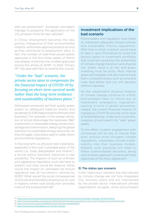plan are postponed<sup>14</sup>. European carmakers manage to postpone the application of the  $\mathrm{CO}_2$  emission limits for new vehicles<sup>15</sup>.

In China, employment becomes the new priority. Irrespective of their environmental impacts, authorities approve projects as long as they contribute to employment aims. In fact, the number of coal-fired power plants approved in the first three weeks of March was already more than the number approved during the whole of 201916. In 2021, China's 14<sup>th</sup> five-year plan fails to reverse this course.

## *"Under the "bad" scenario, the private sector aims to compensate for the financial impact of COVID-19 by focusing on short-term survival needs rather than the long-term resilience and sustainability of business plans."*

Distressed companies sell their quality green assets to safeguard balance sheets and dividends (in 2016, Repsol sold its offshore wind business). For example, in the energy sector, low oil prices discourage the necessary R&D investments in renewable energy production, storage and transmission, delaying the global transition to sustainable energy resources. As they struggle, corporates seek to water down environmental regulations.

In the long term, as physical risks materialise, especially in the most vulnerable parts of the world (i.e., India, Bangladesh and Ghana<sup>17</sup>), a brutal policy backlash becomes a real possibility. The impacts of such an untimely and aggressive regulatory push are hard to predict, but they could be massive. What would the impact on carmakers be should regulators ban all non-electric vehicles by 2030? What would the social consequences of a brutal and disorderly phasing out on coal in regions where coal production provides most of the employment be?

### Investment implications of the bad scenario

Policymakers and regulators have failed to implement adequate climate policies and sustainable finance regulations. With that in mind, investors would have to take it upon themselves to avoid the serious losses to investment portfolios that could be caused by the extremities of climate change transition and physical risk. Green value is at risk, and green investing must be picky. Most mature green technologies that are close to fossil fuel in competitiveness, such as wind and solar, fare better and can still develop without subsidies.

As the catastrophic physical impacts of climate change continue to unfold, policymakers have no choice but to implement emergency regulation, causing U-turns in global economies. Indeed, the current financial impacts of managing COVID-19 provide some level of foreshadowing. Under such a scenario, investors should search for "safe" green assets.

To this effect, investor engagement with companies will be key to ensure that even without more stringent climate regulations, corporates include sustainability into their business models. Notably, such practices will need to follow science-based decisions, along with a holistic approach covering all three objectives of the Paris Agreement.

#### 3) The status quo scenario

In the "status quo" scenario, the risks induced by climate change are not fully integrated into recovery plans and are internalised by the private sector. International climate negotiations struggle, while policymakers

17.<https://www.iisd.org/faq/adapting-to-climate-change/>

<sup>14.</sup> <https://www.cleanenergywire.org/news/german-government-postpones-hydrogen-strategy-coal-exit-hearing>

<sup>15.</sup><https://www.theguardian.com/business/2020/mar/27/carmakers-accused-of-using-covid-19-weaken-environmental-laws>

<sup>16.</sup> <https://www.ft.com/content/052923d2-78c2-11ea-af44-daa3def9ae03>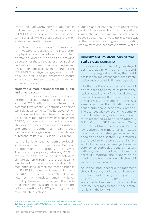introduce lukewarm climate policies in their recovery packages. As a response to COVID-19, some corporates focus on shortterm survival, while others accelerate their sustainable transition plans.

In such a scenario, it would be important for investors to accelerate the integration of physical and transition risks in their portfolios, and to monitor the growing dispersion of these risks across geographies and sectors, as some countries charge ahead while others focus solely on putting out the COVID-19 "fire". Again, engagement should be a key lever used by investors to ensure investees do integrate sustainability into their business models.

#### Moderate climate actions from the public and private sector

In the "status quo" scenario, we expect international cooperation to restart after a brutal 2020, although the international community will continue to struggle to deliver tangible advancements. The European Union powers ahead on the international scene, while the United States remains aloof. At the COP26, no consensus is reached on burdensharing between developed countries and emerging economies, meaning that multilateral talks give way to more bilateral or regional talks (e.g., EU-India, EU-China).

At the EU level, the pandemic seriously slows down the European Green Deal and its implementation, although it survives. The current proposal, whereby 25% of the EU budget would be dedicated to climate action through the Green Deal, is maintained. However, carbon taxation plans face difficulties. In fact, the carbon price in the EU ETS has already decreased by more than 41% in the first quarter of 2020, although new mechanisms in place, namely the Market Stability Reserve, have played their role efficiently. This calls the feasibility of the IMF's suggestion of a \$75 per ton global tax by 2030 into question<sup>18</sup>.

Globally, and at national or regional levels, public policies vary widely in their integration of climate change concerns. In economies under heavy stress, most climate policies give way to the more short-term goals of stimulating employment and economic growth, while in

### Investment implications of the status quo scenario

In this scenario, climate policy has stayed very top-down, without any forceful bottom-up regulation. Thus, the world has failed to implement adequate climate policy and sustainable finance regulation.

Like the "bad" scenario, the world would be struggling to come to grips with the rapid destabilisation of the global climate. Even today we see the materialisation of physical risks. For example, the IMF has already reported that climatic disasters cause significant economic damage. The past decade saw economic damage from climate change disasters amount to an estimated US\$1.3 trillion (approx. 0.2% of world GDP) per year $19$ . Thus, the status of transitioning economies to low-carbon and climate-resilient states would become heterogeneous across geographies and sectors. Policymakers are forced to employ structural shifts similar to the ones that emerged from the coronavirus outbreak. As such, investors with a global outlook would need to carefully monitor the dispersion of physical and transition risks, which would widen quite extensively.

As in the "bad" scenario, engagement should be a key tool used by investors or their asset managers to push for and monitor the implementation of sustainable business policies at the investee level, making their models more resilient in the long run.

<sup>18.</sup><https://blogs.imf.org/2019/10/10/fiscal-policies-to-curb-climate-change/>

<sup>19.</sup> [https://blogs.imf.org/2020/05/29/equity-investors-must-pay-more-attention-to-climate-change-physical-risk/?utm\\_medium=email&utm\\_](https://blogs.imf.org/2020/05/29/equity-investors-must-pay-more-attention-to-climate-change-physical-risk/?utm_medium=email&utm_source=govdelivery) [source=govdelivery](https://blogs.imf.org/2020/05/29/equity-investors-must-pay-more-attention-to-climate-change-physical-risk/?utm_medium=email&utm_source=govdelivery)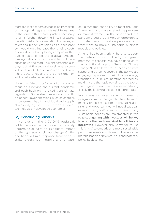more resilient economies, public policymakers do manage to integrate sustainability features. In the former, this merely pushes necessary reforms further down the line, increasing transition risks. Economic stimulus packages tolerating higher emissions as a necessary evil would only increase the relative costs of decarbonisation, placing companies that pursue it at a competitive disadvantage and making nations more vulnerable to climate crises down the road. This phenomenon also plays out at the sectoral level, where some industries are bailed out under no conditions, while others receive aid conditional on additional sustainable criteria.

Under this "status quo" scenario, corporates focus on surviving the current pandemic and push back on more stringent climate regulations. Some structural economic shifts do benefit lower emissions, such as changes in consumer habits and localised supply chains relying on more carbon-efficient technologies in developed economies.

### IV) Concluding remarks

In conclusion, the COVID-19 outbreak holds the potential to accelerate, severely undermine or have no significant impact on the fight against climate change. On the one hand, a timid response from various stakeholders, both public and private, could threaten our ability to meet the Paris Agreement, and merely retard the problem, or make it worse. On the other hand, the pandemic could be a golden opportunity to foster decarbonisation processes and transitions to more sustainable business models and policies.

Amundi has been working hard to support the materialisation of the "good" green momentum scenario. We have signed up to the Institutional Investors Group on Climate Change (IIGCC) letter to EU heads of state supporting a green recovery in the EU. We are engaging corporates on the inclusion of energy transition KPIs in remuneration scorecards, making sure the topic remains at the top of their agendas, and we are also monitoring closely the lobbying positions of corporates.

In all scenarios, investors will still need to integrate climate change into their decisionmaking processes, as climate change-related risks and opportunities will not disappear, even in the "good" scenario where strong sustainable policies are implemented. In this regard, engaging with investees will be key to ensure that such sustainable policies are integrated. However, should we fail to use this "crisis" to embark on a more sustainable path, then investors will need to brace for the materialisation of physical risks and potential policy backlashes.